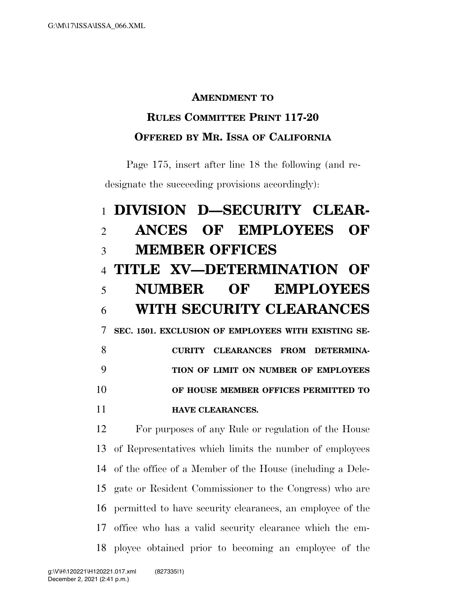## **AMENDMENT TO**

## **RULES COMMITTEE PRINT 117-20 OFFERED BY MR. ISSA OF CALIFORNIA**

Page 175, insert after line 18 the following (and redesignate the succeeding provisions accordingly):

## **DIVISION D—SECURITY CLEAR- ANCES OF EMPLOYEES OF MEMBER OFFICES TITLE XV—DETERMINATION OF NUMBER OF EMPLOYEES WITH SECURITY CLEARANCES SEC. 1501. EXCLUSION OF EMPLOYEES WITH EXISTING SE- CURITY CLEARANCES FROM DETERMINA- TION OF LIMIT ON NUMBER OF EMPLOYEES OF HOUSE MEMBER OFFICES PERMITTED TO HAVE CLEARANCES.**

 For purposes of any Rule or regulation of the House of Representatives which limits the number of employees of the office of a Member of the House (including a Dele- gate or Resident Commissioner to the Congress) who are permitted to have security clearances, an employee of the office who has a valid security clearance which the em-ployee obtained prior to becoming an employee of the